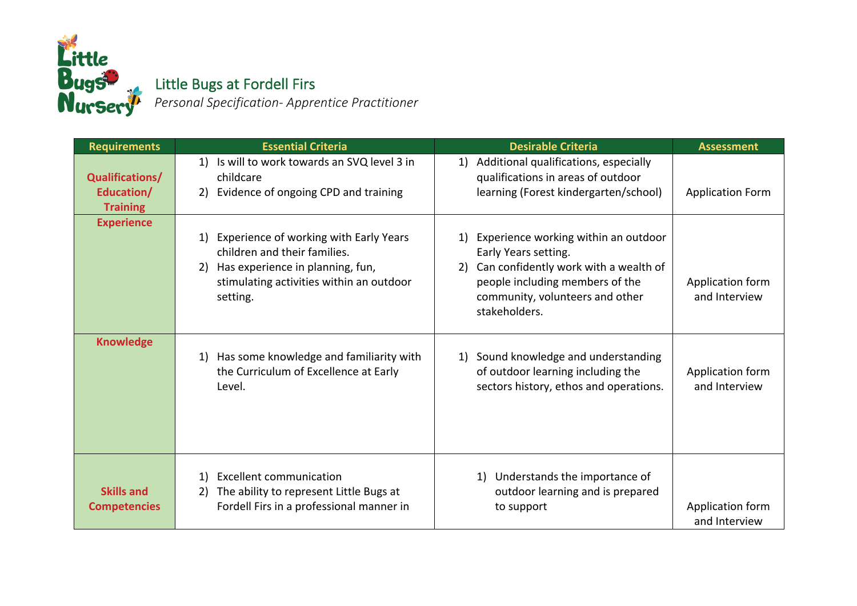

## **ugS** <sub>M</sub> Little Bugs at Fordell Firs

 *Personal Specification- Apprentice Practitioner* 

| <b>Requirements</b>                                     | <b>Essential Criteria</b>                                                                                                                                                   | <b>Desirable Criteria</b>                                                                                                                                                                                | <b>Assessment</b>                 |
|---------------------------------------------------------|-----------------------------------------------------------------------------------------------------------------------------------------------------------------------------|----------------------------------------------------------------------------------------------------------------------------------------------------------------------------------------------------------|-----------------------------------|
| <b>Qualifications/</b><br>Education/<br><b>Training</b> | Is will to work towards an SVQ level 3 in<br>1)<br>childcare<br>Evidence of ongoing CPD and training<br>2)                                                                  | Additional qualifications, especially<br>1)<br>qualifications in areas of outdoor<br>learning (Forest kindergarten/school)                                                                               | <b>Application Form</b>           |
| <b>Experience</b>                                       | Experience of working with Early Years<br>1)<br>children and their families.<br>2) Has experience in planning, fun,<br>stimulating activities within an outdoor<br>setting. | Experience working within an outdoor<br>1)<br>Early Years setting.<br>Can confidently work with a wealth of<br>2)<br>people including members of the<br>community, volunteers and other<br>stakeholders. | Application form<br>and Interview |
| <b>Knowledge</b>                                        | Has some knowledge and familiarity with<br>1)<br>the Curriculum of Excellence at Early<br>Level.                                                                            | Sound knowledge and understanding<br>1)<br>of outdoor learning including the<br>sectors history, ethos and operations.                                                                                   | Application form<br>and Interview |
| <b>Skills and</b><br><b>Competencies</b>                | <b>Excellent communication</b><br>1)<br>The ability to represent Little Bugs at<br>2)<br>Fordell Firs in a professional manner in                                           | Understands the importance of<br>1)<br>outdoor learning and is prepared<br>to support                                                                                                                    | Application form<br>and Interview |